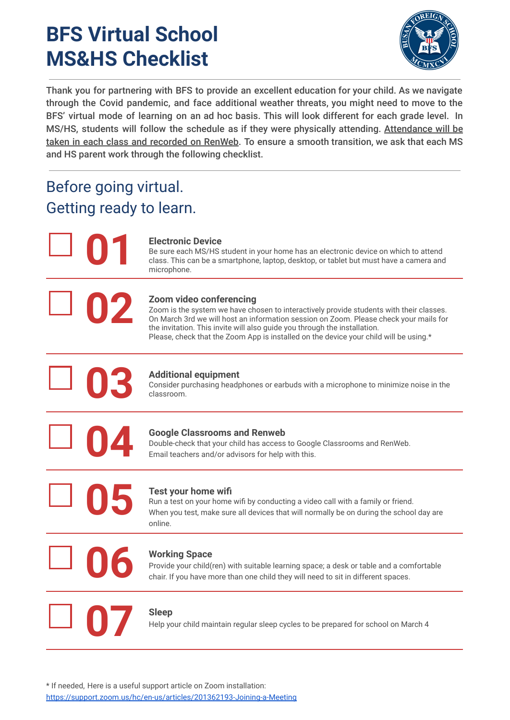## **BFS Virtual School MS&HS Checklist**



Thank you for partnering with BFS to provide an excellent education for your child. As we navigate through the Covid pandemic, and face additional weather threats, you might need to move to the BFS' virtual mode of learning on an ad hoc basis. This will look different for each grade level. In MS/HS, students will follow the schedule as if they were physically attending. Attendance will be taken in each class and recorded on RenWeb. To ensure a smooth transition, we ask that each MS and HS parent work through the following checklist.

### Before going virtual. Getting ready to learn.

**01**

**02**

### **Electronic Device**

Be sure each MS/HS student in your home has an electronic device on which to attend class. This can be a smartphone, laptop, desktop, or tablet but must have a camera and microphone.

### **Zoom video conferencing**

Zoom is the system we have chosen to interactively provide students with their classes. On March 3rd we will host an information session on Zoom. Please check your mails for the invitation. This invite will also guide you through the installation. Please, check that the Zoom App is installed on the device your child will be using.\*



### **Additional equipment**

Consider purchasing headphones or earbuds with a microphone to minimize noise in the classroom.



### **Google Classrooms and Renweb**

Double-check that your child has access to Google Classrooms and RenWeb. Email teachers and/or advisors for help with this.

**05**

### **Test your home wifi**

Run a test on your home wifi by conducting a video call with a family or friend. When you test, make sure all devices that will normally be on during the school day are online.

# **06**

### **Working Space**

Provide your child(ren) with suitable learning space; a desk or table and a comfortable chair. If you have more than one child they will need to sit in different spaces.

# **07**

### **Sleep**

Help your child maintain regular sleep cycles to be prepared for school on March 4